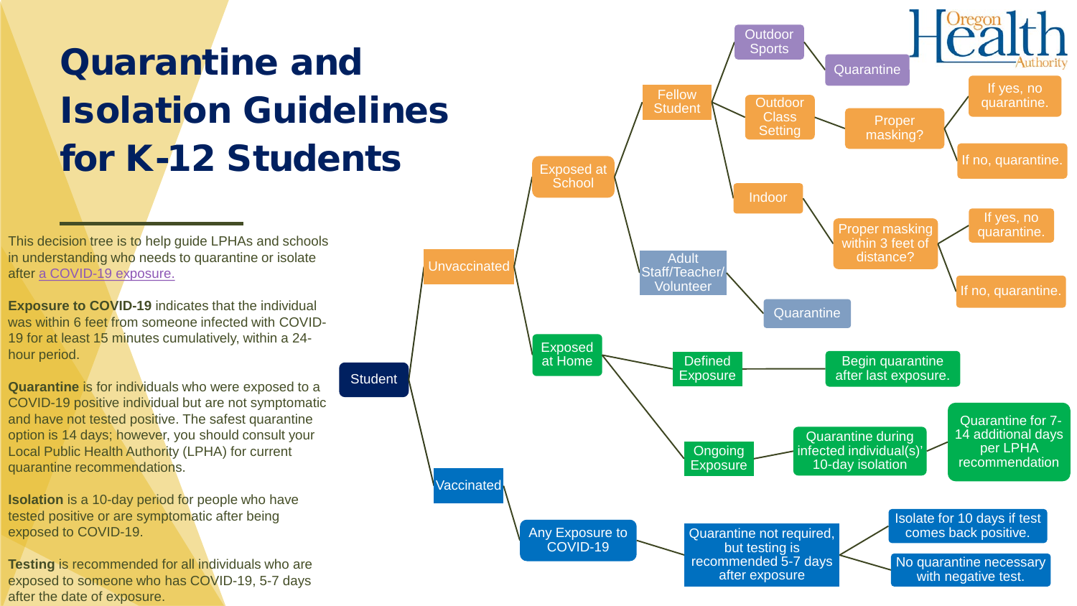## Quarantine and Isolation Guidelines for K-12 Students

**Student** 

This decision tree is to help guide LPHAs and schools in understanding who needs to quarantine or isolate after [a COVID-19 exposure.](https://www.oregon.gov/ode/students-and-family/healthsafety/Documents/Ready%20Schools%20Safe%20Learners%20Resiliency%20Framework%20for%20the%202021-22%20School%20Year.pdf#page=17)

**Exposure to COVID-19** indicates that the individual was within 6 feet from someone infected with COVID-19 for at least 15 minutes cumulatively, within a 24 hour period.

**Quarantine** is for individuals who were exposed to a COVID-19 positive individual but are not symptomatic and have not tested positive. The safest quarantine option is 14 days; however, you should consult your Local Public Health Authority (LPHA) for current quarantine recommendations.

**Isolation** is a 10-day period for people who have tested positive or are symptomatic after being exposed to COVID-19.

**Testing** is recommended for all individuals who are exposed to someone who has COVID-19, 5-7 days after the date of exposure.

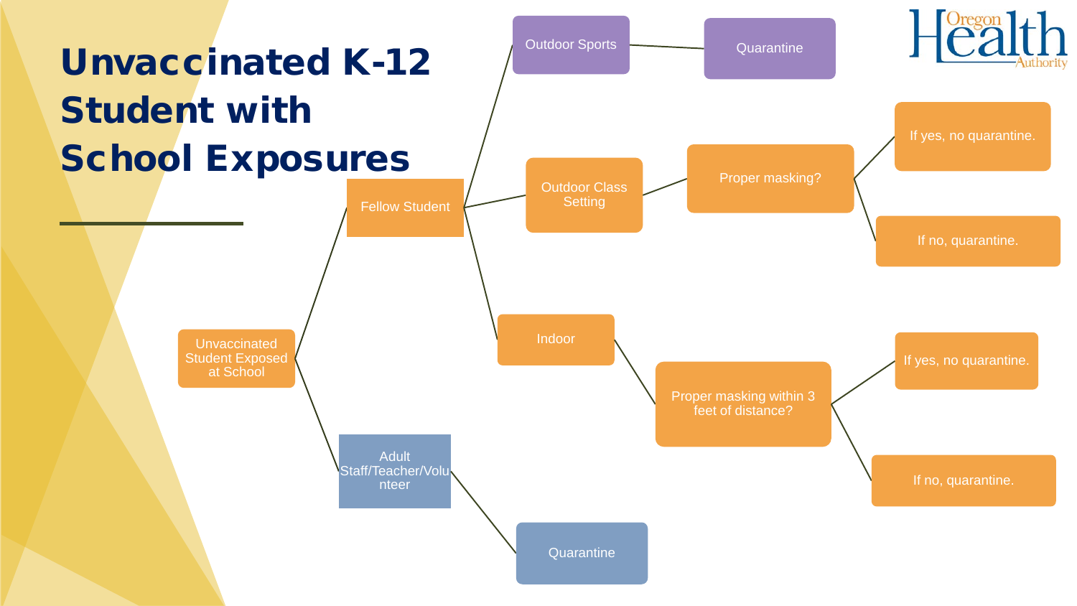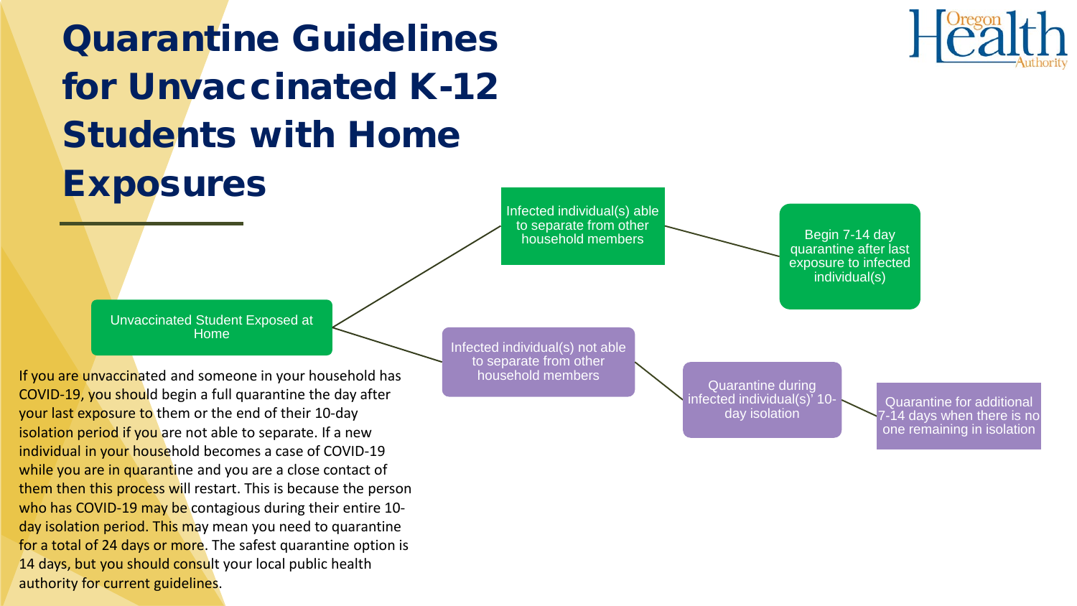



household members **Begin 7-14 day** quarantine after last exposure to infected individual(s)

Unvaccinated Student Exposed at Home

If you are unvaccinated and someone in your household has COVID-19, you should begin a full quarantine the day after your last exposure to them or the end of their 10-day isolation period if you are not able to separate. If a new individual in your household becomes a case of COVID-19 while you are in quarantine and you are a close contact of them then this process will restart. This is because the person who has COVID-19 may be contagious during their entire 10day isolation period. This may mean you need to quarantine for a total of 24 days or more. The safest quarantine option is 14 days, but you should consult your local public health authority for current guidelines.

Infected individual(s) not able to separate from other household members **All Equation** Quarantine during

infected individual(s)' 10 day isolation

Quarantine for additional 7-14 days when there is no one remaining in isolation